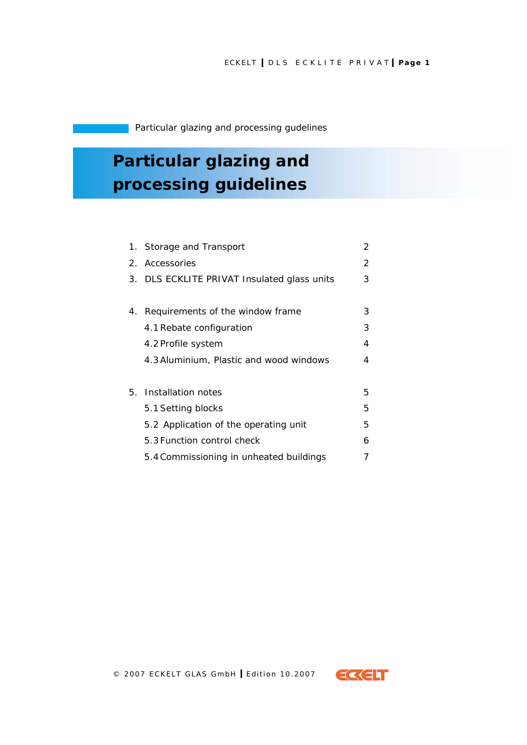Particular glazing and processing gudelines

# **Particular glazing and processing guidelines**

|    | 1. Storage and Transport                    | 2 |
|----|---------------------------------------------|---|
|    | 2. Accessories                              | 2 |
|    | 3. DLS ECKLITE PRIVAT Insulated glass units | 3 |
|    |                                             |   |
| 4. | Requirements of the window frame            | 3 |
|    | 4.1 Rebate configuration                    | 3 |
|    | 4.2 Profile system                          | 4 |
|    | 4.3 Aluminium, Plastic and wood windows     | 4 |
|    |                                             |   |
| 5. | Installation notes                          | 5 |
|    | 5.1 Setting blocks                          | 5 |
|    | 5.2 Application of the operating unit       | 5 |
|    | 5.3 Function control check                  | 6 |
|    | 5.4 Commissioning in unheated buildings     |   |

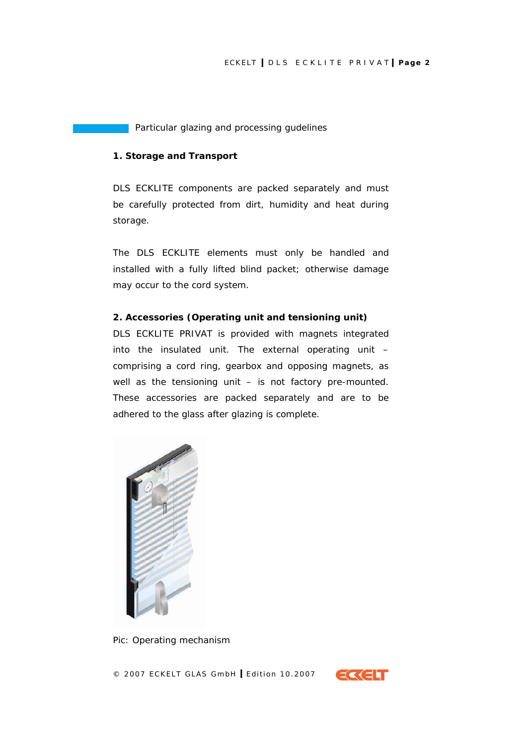<span id="page-1-0"></span>Particular glazing and processing gudelines

## **1. Storage and Transport**

DLS ECKLITE components are packed separately and must be carefully protected from dirt, humidity and heat during storage.

The DLS ECKLITE elements must only be handled and installed with a fully lifted blind packet; otherwise damage may occur to the cord system.

## **2. Accessories (Operating unit and tensioning unit)**

DLS ECKLITE PRIVAT is provided with magnets integrated into the insulated unit. The external operating unit – comprising a cord ring, gearbox and opposing magnets, as well as the tensioning unit – is not factory pre-mounted. These accessories are packed separately and are to be adhered to the glass after glazing is complete.



*Pic: Operating mechanism* 

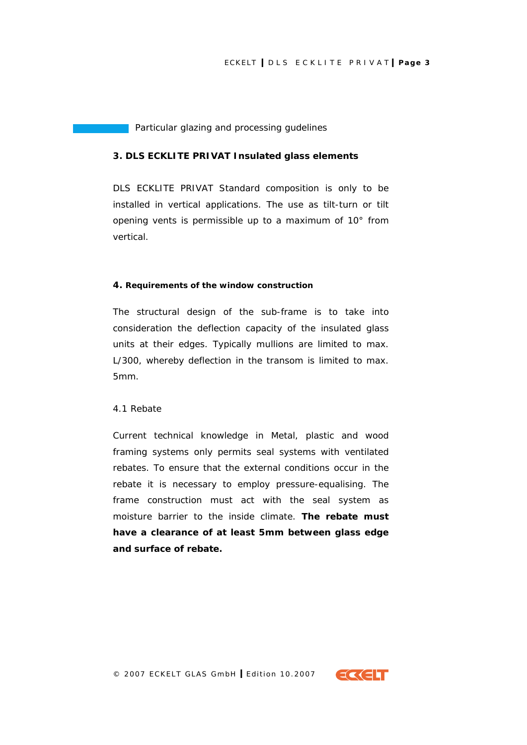<span id="page-2-0"></span>Particular glazing and processing gudelines

#### **3. DLS ECKLITE PRIVAT Insulated glass elements**

DLS ECKLITE PRIVAT Standard composition is only to be installed in vertical applications. The use as tilt-turn or tilt opening vents is permissible up to a maximum of 10° from vertical.

#### **4. Requirements of the window construction**

The structural design of the sub-frame is to take into consideration the deflection capacity of the insulated glass units at their edges. Typically mullions are limited to max. L/300, whereby deflection in the transom is limited to max. 5mm.

## *4.1 Rebate*

Current technical knowledge in Metal, plastic and wood framing systems only permits seal systems with ventilated rebates. To ensure that the external conditions occur in the rebate it is necessary to employ pressure-equalising. The frame construction must act with the seal system as moisture barrier to the inside climate. **The rebate must have a clearance of at least 5mm between glass edge and surface of rebate.** 

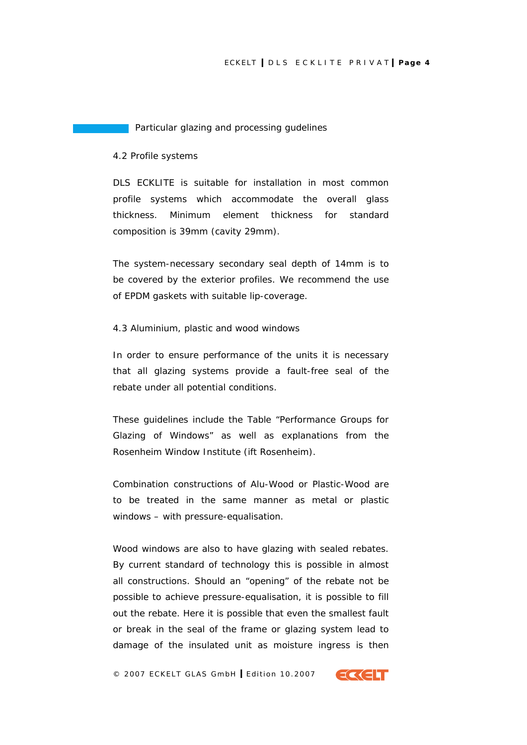#### <span id="page-3-0"></span>Particular glazing and processing gudelines

#### *4.2 Profile systems*

DLS ECKLITE is suitable for installation in most common profile systems which accommodate the overall glass thickness. Minimum element thickness for standard composition is 39mm (cavity 29mm).

The system-necessary secondary seal depth of 14mm is to be covered by the exterior profiles. We recommend the use of EPDM gaskets with suitable lip-coverage.

#### *4.3 Aluminium, plastic and wood windows*

In order to ensure performance of the units it is necessary that all glazing systems provide a fault-free seal of the rebate under all potential conditions.

These guidelines include the Table "Performance Groups for Glazing of Windows" as well as explanations from the Rosenheim Window Institute (ift Rosenheim).

Combination constructions of Alu-Wood or Plastic-Wood are to be treated in the same manner as metal or plastic windows – with pressure-equalisation.

Wood windows are also to have glazing with sealed rebates. By current standard of technology this is possible in almost all constructions. Should an "opening" of the rebate not be possible to achieve pressure-equalisation, it is possible to fill out the rebate. Here it is possible that even the smallest fault or break in the seal of the frame or glazing system lead to damage of the insulated unit as moisture ingress is then

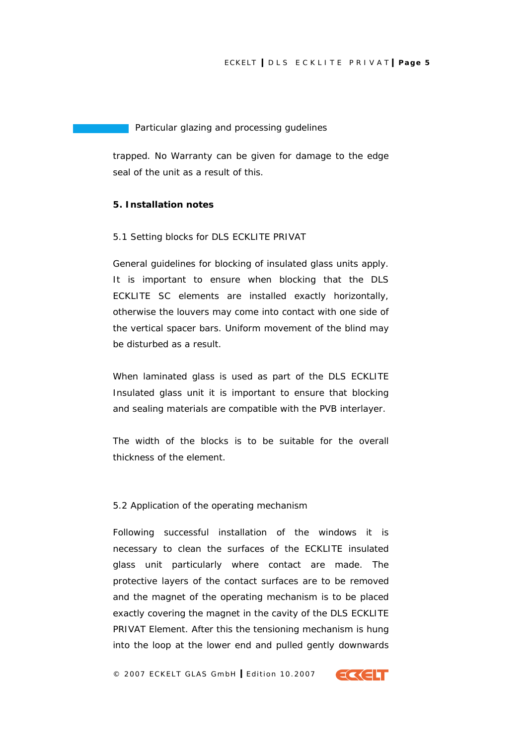<span id="page-4-0"></span>Particular glazing and processing gudelines

trapped. No Warranty can be given for damage to the edge seal of the unit as a result of this.

## **5. Installation notes**

#### *5.1 Setting blocks for DLS ECKLITE PRIVAT*

General guidelines for blocking of insulated glass units apply. It is important to ensure when blocking that the DLS ECKLITE SC elements are installed exactly horizontally, otherwise the louvers may come into contact with one side of the vertical spacer bars. Uniform movement of the blind may be disturbed as a result.

When laminated glass is used as part of the DLS ECKLITE Insulated glass unit it is important to ensure that blocking and sealing materials are compatible with the PVB interlayer.

The width of the blocks is to be suitable for the overall thickness of the element.

#### *5.2 Application of the operating mechanism*

Following successful installation of the windows it is necessary to clean the surfaces of the ECKLITE insulated glass unit particularly where contact are made. The protective layers of the contact surfaces are to be removed and the magnet of the operating mechanism is to be placed exactly covering the magnet in the cavity of the DLS ECKLITE PRIVAT Element. After this the tensioning mechanism is hung into the loop at the lower end and pulled gently downwards

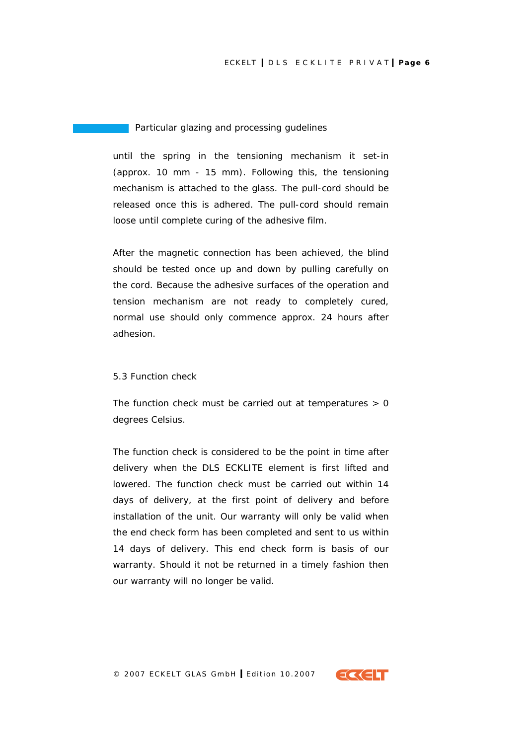<span id="page-5-0"></span>Particular glazing and processing gudelines

until the spring in the tensioning mechanism it set-in (approx. 10 mm - 15 mm). Following this, the tensioning mechanism is attached to the glass. The pull-cord should be released once this is adhered. The pull-cord should remain loose until complete curing of the adhesive film.

After the magnetic connection has been achieved, the blind should be tested once up and down by pulling carefully on the cord. Because the adhesive surfaces of the operation and tension mechanism are not ready to completely cured, normal use should only commence approx. 24 hours after adhesion.

## *5.3 Function check*

The function check must be carried out at temperatures  $> 0$ degrees Celsius.

The function check is considered to be the point in time after delivery when the DLS ECKLITE element is first lifted and lowered. The function check must be carried out within 14 days of delivery, at the first point of delivery and before installation of the unit. Our warranty will only be valid when the end check form has been completed and sent to us within 14 days of delivery. This end check form is basis of our warranty. Should it not be returned in a timely fashion then our warranty will no longer be valid.